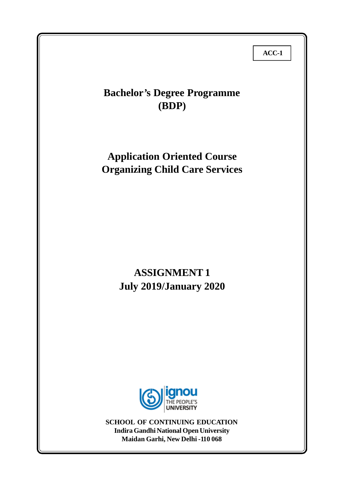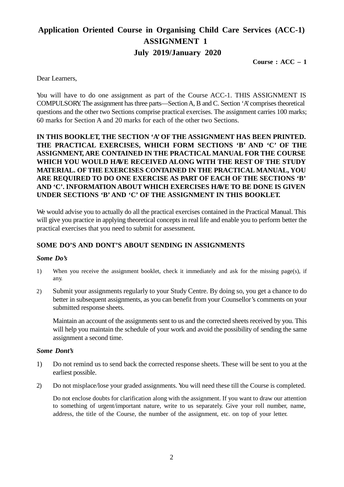# **Application Oriented Course in Organising Child Care Services (ACC-1) ASSIGNMENT 1 July 2019/January 2020**

**Course : ACC – 1**

Dear Learners,

You will have to do one assignment as part of the Course ACC-1. THIS ASSIGNMENT IS COMPULSORY. The assignment has three parts—Section A, B and C. Section 'A' comprises theoretical questions and the other two Sections comprise practical exercises. The assignment carries 100 marks; 60 marks for Section A and 20 marks for each of the other two Sections.

**IN THIS BOOKLET, THE SECTION 'A' OF THE ASSIGNMENT HAS BEEN PRINTED. THE PRACTICAL EXERCISES, WHICH FORM SECTIONS 'B' AND 'C' OF THE ASSIGNMENT, ARE CONTAINED IN THE PRACTICAL MANUAL FOR THE COURSE WHICH YOU WOULD HAVE RECEIVED ALONG WITH THE REST OF THE STUDY MATERIAL. OF THE EXERCISES CONTAINED IN THE PRACTICAL MANUAL, YOU ARE REQUIRED TO DO ONE EXERCISE AS PART OF EACH OF THE SECTIONS 'B' AND 'C'. INFORMATION ABOUT WHICH EXERCISES HAVE TO BE DONE IS GIVEN UNDER SECTIONS 'B' AND 'C' OF THE ASSIGNMENT IN THIS BOOKLET.**

We would advise you to actually do all the practical exercises contained in the Practical Manual. This will give you practice in applying theoretical concepts in real life and enable you to perform better the practical exercises that you need to submit for assessment.

# **SOME DO'S AND DONT'S ABOUT SENDING IN ASSIGNMENTS**

## *Some Do's*

- 1) When you receive the assignment booklet, check it immediately and ask for the missing page(s), if any.
- 2) Submit your assignments regularly to your Study Centre. By doing so, you get a chance to do better in subsequent assignments, as you can benefit from your Counsellor's comments on your submitted response sheets.

Maintain an account of the assignments sent to us and the corrected sheets received by you. This will help you maintain the schedule of your work and avoid the possibility of sending the same assignment a second time.

## *Some Dont's*

- 1) Do not remind us to send back the corrected response sheets. These will be sent to you at the earliest possible.
- 2) Do not misplace/lose your graded assignments. You will need these till the Course is completed.

Do not enclose doubts for clarification along with the assignment. If you want to draw our attention to something of urgent/important nature, write to us separately. Give your roll number, name, address, the title of the Course, the number of the assignment, etc. on top of your letter.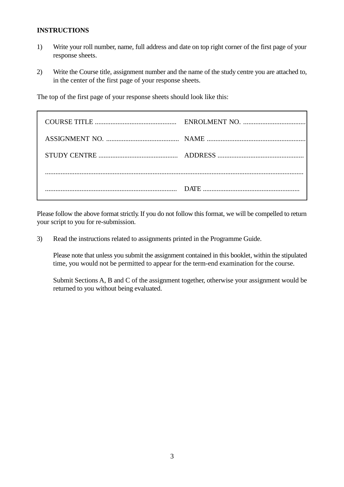# **INSTRUCTIONS**

- 1) Write your roll number, name, full address and date on top right corner of the first page of your response sheets.
- 2) Write the Course title, assignment number and the name of the study centre you are attached to, in the center of the first page of your response sheets.

The top of the first page of your response sheets should look like this:

Please follow the above format strictly. If you do not follow this format, we will be compelled to return your script to you for re-submission.

3) Read the instructions related to assignments printed in the Programme Guide.

Please note that unless you submit the assignment contained in this booklet, within the stipulated time, you would not be permitted to appear for the term-end examination for the course.

Submit Sections A, B and C of the assignment together, otherwise your assignment would be returned to you without being evaluated.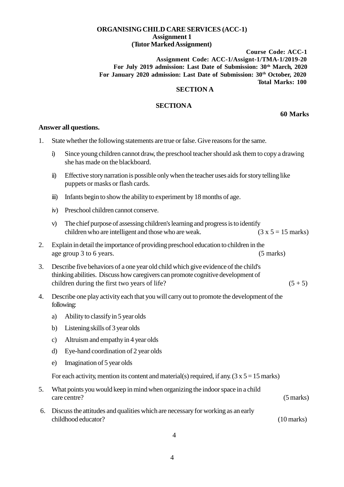#### **ORGANISINGCHILD CARE SERVICES (ACC-1) Assignment 1 (Tutor MarkedAssignment)**

**Course Code: ACC-1 Assignment Code: ACC-1/Assignt-1/TMA-1/2019-20 For July 2019 admission: Last Date of Submission: 30th March, 2020 For January 2020 admission: Last Date of Submission: 30th October, 2020 Total Marks: 100**

#### **SECTION A**

## **SECTIONA**

**60 Marks**

#### **Answer all questions.**

- 1. State whether the following statements are true or false. Give reasons for the same.
	- i) Since young children cannot draw, the preschool teacher should ask them to copy a drawing she has made on the blackboard.
	- ii) Effective storynarration is possible onlywhen the teacher uses aids for storytelling like puppets or masks or flash cards.
	- iii) Infants begin to show the ability to experiment by 18 months of age.
	- iv) Preschool children cannot conserve.
	- v) The chief purpose of assessing children's learning and progress is to identify children who are intelligent and those who are weak.  $(3 x 5 = 15$  marks)
- 2. Explain in detail the importance of providing preschool education to children in the age group 3 to 6 years. (5 marks)
- 3. Describe five behaviors of a one year old child which give evidence of the child's thinking abilities. Discuss how caregivers can promote cognitive development of children during the first two years of life?  $(5 + 5)$
- 4. Describe one play activity each that you will carry out to promote the development of the following:
	- a) Ability to classify in 5 year olds
	- b) Listening skills of 3 year olds
	- c) Altruism and empathyin 4 year olds
	- d) Eye-hand coordination of 2 year olds
	- e) Imagination of 5 year olds

For each activity, mention its content and material(s) required, if any.  $(3 \times 5 = 15 \text{ marks})$ 

- 5. What points you would keep in mind when organizing the indoor space in a child care centre? (5 marks)
- 6. Discuss the attitudes and qualities which are necessary for working as an early childhood educator? (10 marks)

4